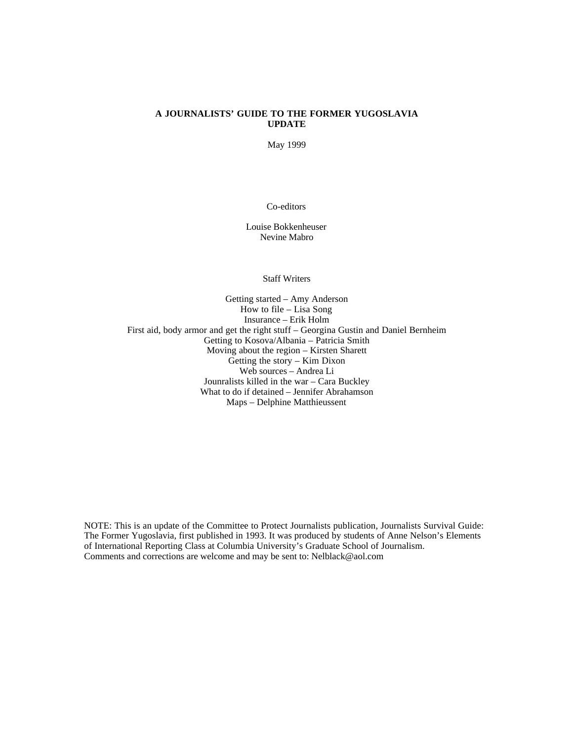## **A JOURNALISTS' GUIDE TO THE FORMER YUGOSLAVIA UPDATE**

May 1999

Co-editors

Louise Bokkenheuser Nevine Mabro

Staff Writers

Getting started – Amy Anderson How to file – Lisa Song Insurance – Erik Holm First aid, body armor and get the right stuff – Georgina Gustin and Daniel Bernheim Getting to Kosova/Albania – Patricia Smith Moving about the region – Kirsten Sharett Getting the story – Kim Dixon Web sources – Andrea Li Jounralists killed in the war – Cara Buckley What to do if detained – Jennifer Abrahamson Maps – Delphine Matthieussent

NOTE: This is an update of the Committee to Protect Journalists publication, Journalists Survival Guide: The Former Yugoslavia, first published in 1993. It was produced by students of Anne Nelson's Elements of International Reporting Class at Columbia University's Graduate School of Journalism. Comments and corrections are welcome and may be sent to: Nelblack@aol.com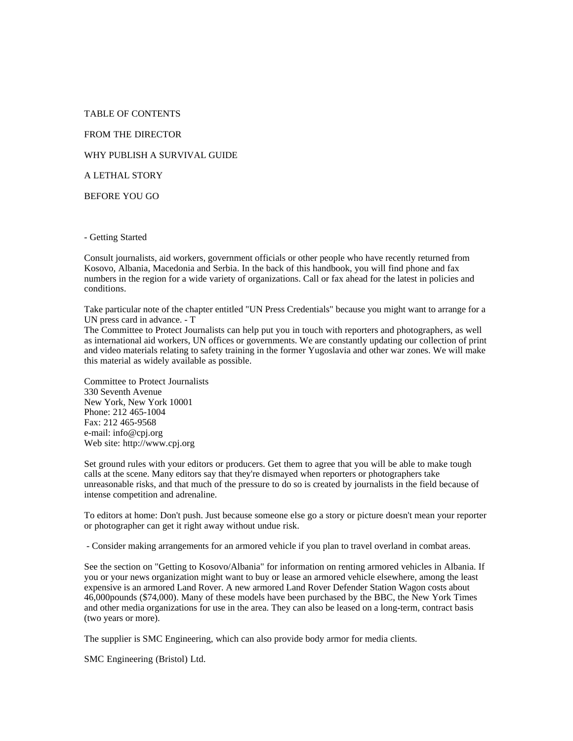TABLE OF CONTENTS

FROM THE DIRECTOR

WHY PUBLISH A SURVIVAL GUIDE

A LETHAL STORY

BEFORE YOU GO

- Getting Started

Consult journalists, aid workers, government officials or other people who have recently returned from Kosovo, Albania, Macedonia and Serbia. In the back of this handbook, you will find phone and fax numbers in the region for a wide variety of organizations. Call or fax ahead for the latest in policies and conditions.

Take particular note of the chapter entitled "UN Press Credentials" because you might want to arrange for a UN press card in advance. - T

The Committee to Protect Journalists can help put you in touch with reporters and photographers, as well as international aid workers, UN offices or governments. We are constantly updating our collection of print and video materials relating to safety training in the former Yugoslavia and other war zones. We will make this material as widely available as possible.

Committee to Protect Journalists 330 Seventh Avenue New York, New York 10001 Phone: 212 465-1004 Fax: 212 465-9568 e-mail: info@cpj.org Web site: http://www.cpj.org

Set ground rules with your editors or producers. Get them to agree that you will be able to make tough calls at the scene. Many editors say that they're dismayed when reporters or photographers take unreasonable risks, and that much of the pressure to do so is created by journalists in the field because of intense competition and adrenaline.

To editors at home: Don't push. Just because someone else go a story or picture doesn't mean your reporter or photographer can get it right away without undue risk.

- Consider making arrangements for an armored vehicle if you plan to travel overland in combat areas.

See the section on "Getting to Kosovo/Albania" for information on renting armored vehicles in Albania. If you or your news organization might want to buy or lease an armored vehicle elsewhere, among the least expensive is an armored Land Rover. A new armored Land Rover Defender Station Wagon costs about 46,000pounds (\$74,000). Many of these models have been purchased by the BBC, the New York Times and other media organizations for use in the area. They can also be leased on a long-term, contract basis (two years or more).

The supplier is SMC Engineering, which can also provide body armor for media clients.

SMC Engineering (Bristol) Ltd.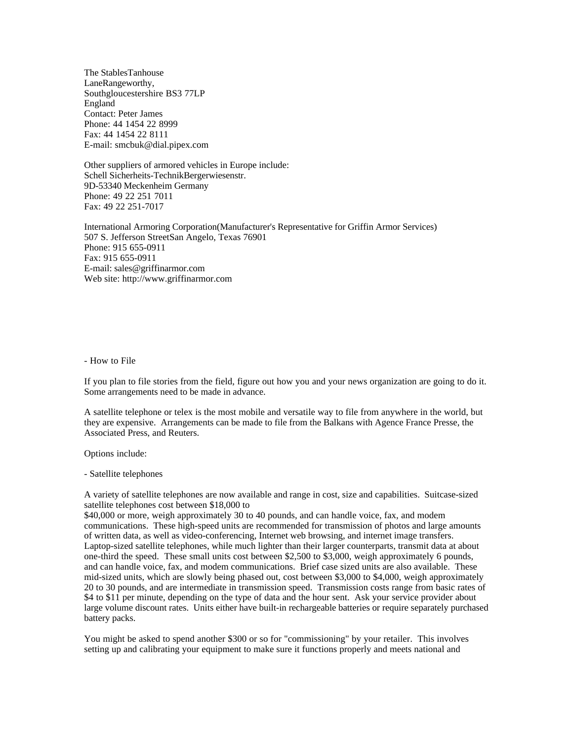The StablesTanhouse LaneRangeworthy, Southgloucestershire BS3 77LP England Contact: Peter James Phone: 44 1454 22 8999 Fax: 44 1454 22 8111 E-mail: smcbuk@dial.pipex.com

Other suppliers of armored vehicles in Europe include: Schell Sicherheits-TechnikBergerwiesenstr. 9D-53340 Meckenheim Germany Phone: 49 22 251 7011 Fax: 49 22 251-7017

International Armoring Corporation(Manufacturer's Representative for Griffin Armor Services) 507 S. Jefferson StreetSan Angelo, Texas 76901 Phone: 915 655-0911 Fax: 915 655-0911 E-mail: sales@griffinarmor.com Web site: http://www.griffinarmor.com

- How to File

If you plan to file stories from the field, figure out how you and your news organization are going to do it. Some arrangements need to be made in advance.

A satellite telephone or telex is the most mobile and versatile way to file from anywhere in the world, but they are expensive. Arrangements can be made to file from the Balkans with Agence France Presse, the Associated Press, and Reuters.

Options include:

- Satellite telephones

A variety of satellite telephones are now available and range in cost, size and capabilities. Suitcase-sized satellite telephones cost between \$18,000 to

\$40,000 or more, weigh approximately 30 to 40 pounds, and can handle voice, fax, and modem communications. These high-speed units are recommended for transmission of photos and large amounts of written data, as well as video-conferencing, Internet web browsing, and internet image transfers. Laptop-sized satellite telephones, while much lighter than their larger counterparts, transmit data at about one-third the speed. These small units cost between \$2,500 to \$3,000, weigh approximately 6 pounds, and can handle voice, fax, and modem communications. Brief case sized units are also available. These mid-sized units, which are slowly being phased out, cost between \$3,000 to \$4,000, weigh approximately 20 to 30 pounds, and are intermediate in transmission speed. Transmission costs range from basic rates of \$4 to \$11 per minute, depending on the type of data and the hour sent. Ask your service provider about large volume discount rates. Units either have built-in rechargeable batteries or require separately purchased battery packs.

You might be asked to spend another \$300 or so for "commissioning" by your retailer. This involves setting up and calibrating your equipment to make sure it functions properly and meets national and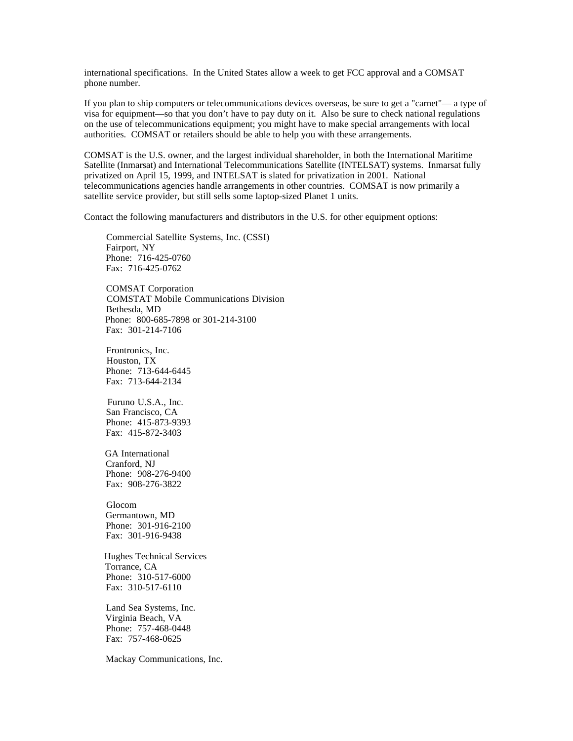international specifications. In the United States allow a week to get FCC approval and a COMSAT phone number.

If you plan to ship computers or telecommunications devices overseas, be sure to get a "carnet"— a type of visa for equipment—so that you don't have to pay duty on it. Also be sure to check national regulations on the use of telecommunications equipment; you might have to make special arrangements with local authorities. COMSAT or retailers should be able to help you with these arrangements.

COMSAT is the U.S. owner, and the largest individual shareholder, in both the International Maritime Satellite (Inmarsat) and International Telecommunications Satellite (INTELSAT) systems. Inmarsat fully privatized on April 15, 1999, and INTELSAT is slated for privatization in 2001. National telecommunications agencies handle arrangements in other countries. COMSAT is now primarily a satellite service provider, but still sells some laptop-sized Planet 1 units.

Contact the following manufacturers and distributors in the U.S. for other equipment options:

 Commercial Satellite Systems, Inc. (CSSI) Fairport, NY Phone: 716-425-0760 Fax: 716-425-0762

 COMSAT Corporation COMSTAT Mobile Communications Division Bethesda, MD Phone: 800-685-7898 or 301-214-3100 Fax: 301-214-7106

 Frontronics, Inc. Houston, TX Phone: 713-644-6445 Fax: 713-644-2134

 Furuno U.S.A., Inc. San Francisco, CA Phone: 415-873-9393 Fax: 415-872-3403

 GA International Cranford, NJ Phone: 908-276-9400 Fax: 908-276-3822

 Glocom Germantown, MD Phone: 301-916-2100 Fax: 301-916-9438

 Hughes Technical Services Torrance, CA Phone: 310-517-6000 Fax: 310-517-6110

 Land Sea Systems, Inc. Virginia Beach, VA Phone: 757-468-0448 Fax: 757-468-0625

Mackay Communications, Inc.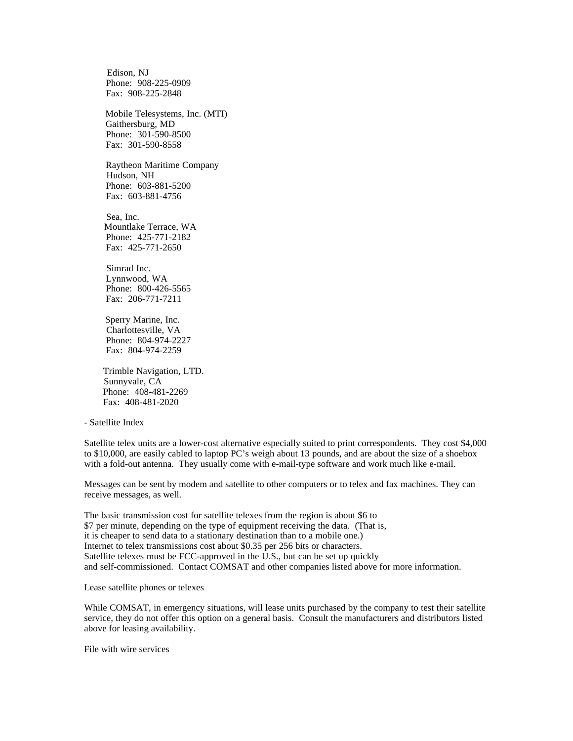Edison, NJ Phone: 908-225-0909 Fax: 908-225-2848

 Mobile Telesystems, Inc. (MTI) Gaithersburg, MD Phone: 301-590-8500 Fax: 301-590-8558

 Raytheon Maritime Company Hudson, NH Phone: 603-881-5200 Fax: 603-881-4756

 Sea, Inc. Mountlake Terrace, WA Phone: 425-771-2182 Fax: 425-771-2650

 Simrad Inc. Lynnwood, WA Phone: 800-426-5565 Fax: 206-771-7211

 Sperry Marine, Inc. Charlottesville, VA Phone: 804-974-2227 Fax: 804-974-2259

 Trimble Navigation, LTD. Sunnyvale, CA Phone: 408-481-2269 Fax: 408-481-2020

- Satellite Index

Satellite telex units are a lower-cost alternative especially suited to print correspondents. They cost \$4,000 to \$10,000, are easily cabled to laptop PC's weigh about 13 pounds, and are about the size of a shoebox with a fold-out antenna. They usually come with e-mail-type software and work much like e-mail.

Messages can be sent by modem and satellite to other computers or to telex and fax machines. They can receive messages, as well.

The basic transmission cost for satellite telexes from the region is about \$6 to \$7 per minute, depending on the type of equipment receiving the data. (That is, it is cheaper to send data to a stationary destination than to a mobile one.) Internet to telex transmissions cost about \$0.35 per 256 bits or characters. Satellite telexes must be FCC-approved in the U.S., but can be set up quickly and self-commissioned. Contact COMSAT and other companies listed above for more information.

Lease satellite phones or telexes

While COMSAT, in emergency situations, will lease units purchased by the company to test their satellite service, they do not offer this option on a general basis. Consult the manufacturers and distributors listed above for leasing availability.

File with wire services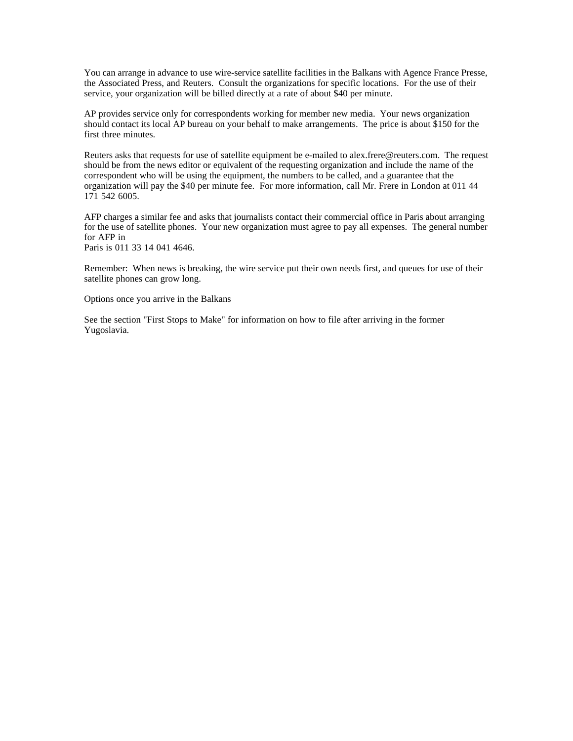You can arrange in advance to use wire-service satellite facilities in the Balkans with Agence France Presse, the Associated Press, and Reuters. Consult the organizations for specific locations. For the use of their service, your organization will be billed directly at a rate of about \$40 per minute.

AP provides service only for correspondents working for member new media. Your news organization should contact its local AP bureau on your behalf to make arrangements. The price is about \$150 for the first three minutes.

Reuters asks that requests for use of satellite equipment be e-mailed to alex.frere@reuters.com. The request should be from the news editor or equivalent of the requesting organization and include the name of the correspondent who will be using the equipment, the numbers to be called, and a guarantee that the organization will pay the \$40 per minute fee. For more information, call Mr. Frere in London at 011 44 171 542 6005.

AFP charges a similar fee and asks that journalists contact their commercial office in Paris about arranging for the use of satellite phones. Your new organization must agree to pay all expenses. The general number for AFP in

Paris is 011 33 14 041 4646.

Remember: When news is breaking, the wire service put their own needs first, and queues for use of their satellite phones can grow long.

Options once you arrive in the Balkans

See the section "First Stops to Make" for information on how to file after arriving in the former Yugoslavia.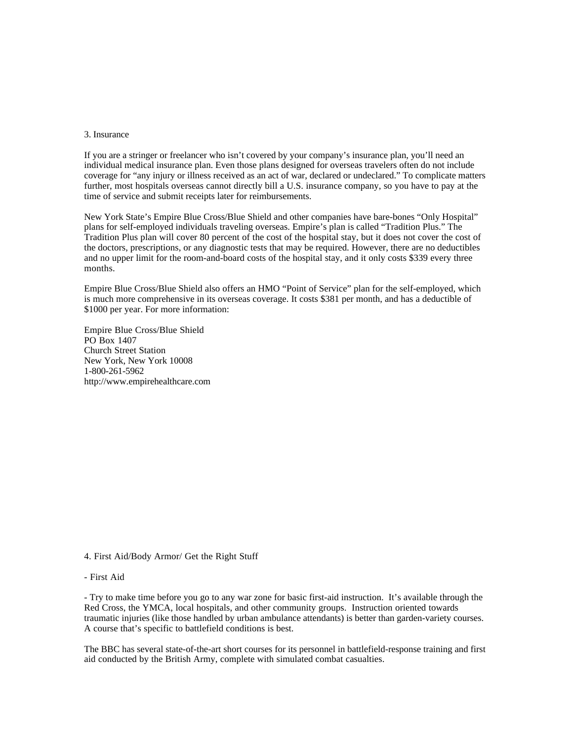#### 3. Insurance

If you are a stringer or freelancer who isn't covered by your company's insurance plan, you'll need an individual medical insurance plan. Even those plans designed for overseas travelers often do not include coverage for "any injury or illness received as an act of war, declared or undeclared." To complicate matters further, most hospitals overseas cannot directly bill a U.S. insurance company, so you have to pay at the time of service and submit receipts later for reimbursements.

New York State's Empire Blue Cross/Blue Shield and other companies have bare-bones "Only Hospital" plans for self-employed individuals traveling overseas. Empire's plan is called "Tradition Plus." The Tradition Plus plan will cover 80 percent of the cost of the hospital stay, but it does not cover the cost of the doctors, prescriptions, or any diagnostic tests that may be required. However, there are no deductibles and no upper limit for the room-and-board costs of the hospital stay, and it only costs \$339 every three months.

Empire Blue Cross/Blue Shield also offers an HMO "Point of Service" plan for the self-employed, which is much more comprehensive in its overseas coverage. It costs \$381 per month, and has a deductible of \$1000 per year. For more information:

Empire Blue Cross/Blue Shield PO Box 1407 Church Street Station New York, New York 10008 1-800-261-5962 http://www.empirehealthcare.com

4. First Aid/Body Armor/ Get the Right Stuff

#### - First Aid

- Try to make time before you go to any war zone for basic first-aid instruction. It's available through the Red Cross, the YMCA, local hospitals, and other community groups. Instruction oriented towards traumatic injuries (like those handled by urban ambulance attendants) is better than garden-variety courses. A course that's specific to battlefield conditions is best.

The BBC has several state-of-the-art short courses for its personnel in battlefield-response training and first aid conducted by the British Army, complete with simulated combat casualties.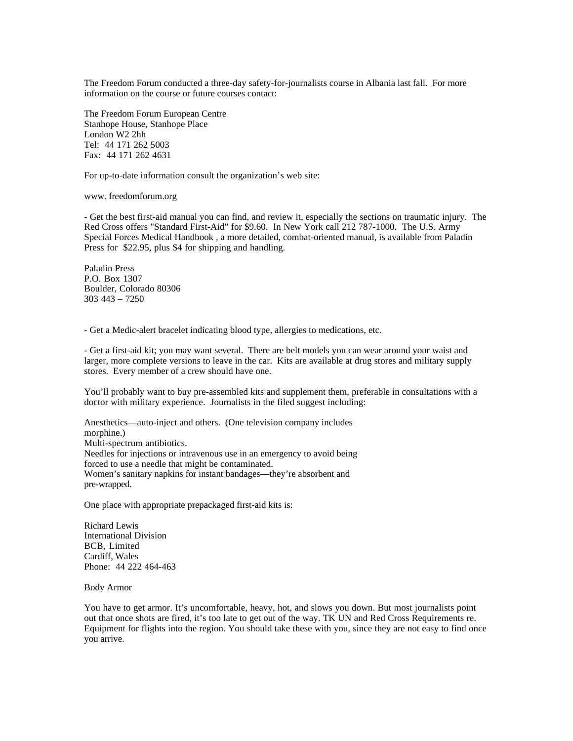The Freedom Forum conducted a three-day safety-for-journalists course in Albania last fall. For more information on the course or future courses contact:

The Freedom Forum European Centre Stanhope House, Stanhope Place London W2 2hh Tel: 44 171 262 5003 Fax: 44 171 262 4631

For up-to-date information consult the organization's web site:

www. freedomforum.org

- Get the best first-aid manual you can find, and review it, especially the sections on traumatic injury. The Red Cross offers "Standard First-Aid" for \$9.60. In New York call 212 787-1000. The U.S. Army Special Forces Medical Handbook , a more detailed, combat-oriented manual, is available from Paladin Press for \$22.95, plus \$4 for shipping and handling.

Paladin Press P.O. Box 1307 Boulder, Colorado 80306 303 443 – 7250

- Get a Medic-alert bracelet indicating blood type, allergies to medications, etc.

- Get a first-aid kit; you may want several. There are belt models you can wear around your waist and larger, more complete versions to leave in the car. Kits are available at drug stores and military supply stores. Every member of a crew should have one.

You'll probably want to buy pre-assembled kits and supplement them, preferable in consultations with a doctor with military experience. Journalists in the filed suggest including:

Anesthetics—auto-inject and others. (One television company includes morphine.) Multi-spectrum antibiotics. Needles for injections or intravenous use in an emergency to avoid being forced to use a needle that might be contaminated. Women's sanitary napkins for instant bandages—they're absorbent and pre-wrapped.

One place with appropriate prepackaged first-aid kits is:

Richard Lewis International Division BCB, Limited Cardiff, Wales Phone: 44 222 464-463

Body Armor

You have to get armor. It's uncomfortable, heavy, hot, and slows you down. But most journalists point out that once shots are fired, it's too late to get out of the way. TK UN and Red Cross Requirements re. Equipment for flights into the region. You should take these with you, since they are not easy to find once you arrive.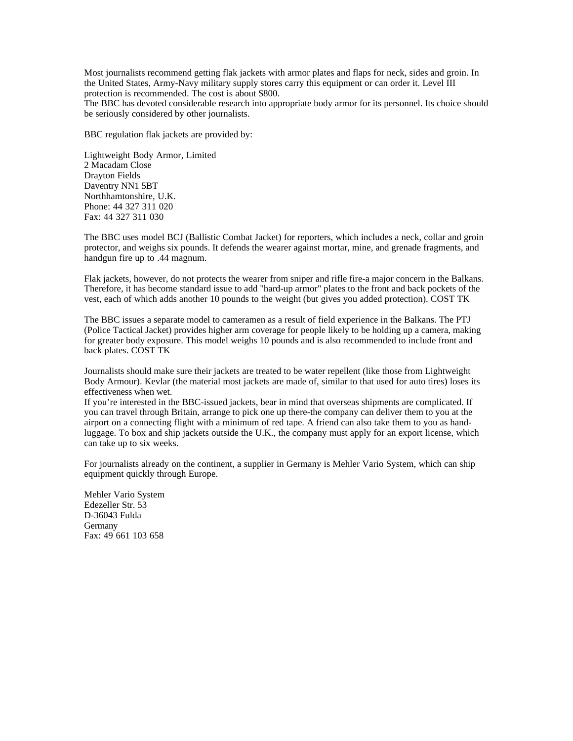Most journalists recommend getting flak jackets with armor plates and flaps for neck, sides and groin. In the United States, Army-Navy military supply stores carry this equipment or can order it. Level III protection is recommended. The cost is about \$800.

The BBC has devoted considerable research into appropriate body armor for its personnel. Its choice should be seriously considered by other journalists.

BBC regulation flak jackets are provided by:

Lightweight Body Armor, Limited 2 Macadam Close Drayton Fields Daventry NN1 5BT Northhamtonshire, U.K. Phone: 44 327 311 020 Fax: 44 327 311 030

The BBC uses model BCJ (Ballistic Combat Jacket) for reporters, which includes a neck, collar and groin protector, and weighs six pounds. It defends the wearer against mortar, mine, and grenade fragments, and handgun fire up to .44 magnum.

Flak jackets, however, do not protects the wearer from sniper and rifle fire-a major concern in the Balkans. Therefore, it has become standard issue to add "hard-up armor" plates to the front and back pockets of the vest, each of which adds another 10 pounds to the weight (but gives you added protection). COST TK

The BBC issues a separate model to cameramen as a result of field experience in the Balkans. The PTJ (Police Tactical Jacket) provides higher arm coverage for people likely to be holding up a camera, making for greater body exposure. This model weighs 10 pounds and is also recommended to include front and back plates. COST TK

Journalists should make sure their jackets are treated to be water repellent (like those from Lightweight Body Armour). Kevlar (the material most jackets are made of, similar to that used for auto tires) loses its effectiveness when wet.

If you're interested in the BBC-issued jackets, bear in mind that overseas shipments are complicated. If you can travel through Britain, arrange to pick one up there-the company can deliver them to you at the airport on a connecting flight with a minimum of red tape. A friend can also take them to you as handluggage. To box and ship jackets outside the U.K., the company must apply for an export license, which can take up to six weeks.

For journalists already on the continent, a supplier in Germany is Mehler Vario System, which can ship equipment quickly through Europe.

Mehler Vario System Edezeller Str. 53 D-36043 Fulda **Germany** Fax: 49 661 103 658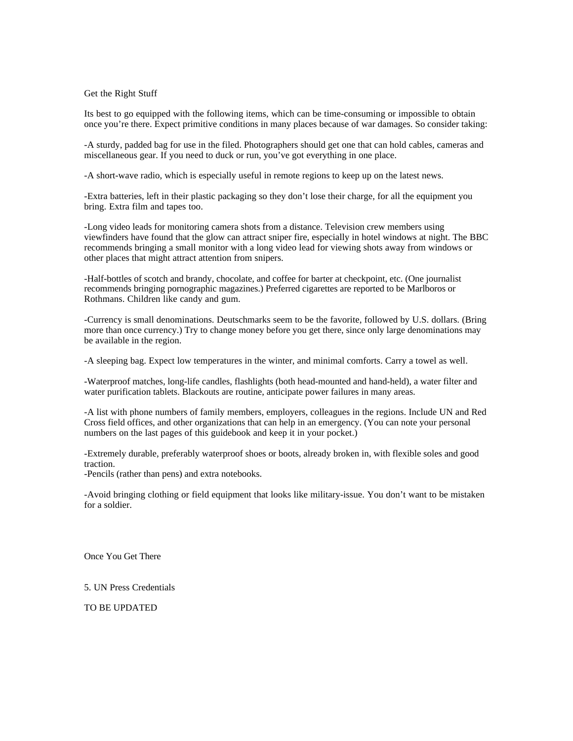Get the Right Stuff

Its best to go equipped with the following items, which can be time-consuming or impossible to obtain once you're there. Expect primitive conditions in many places because of war damages. So consider taking:

-A sturdy, padded bag for use in the filed. Photographers should get one that can hold cables, cameras and miscellaneous gear. If you need to duck or run, you've got everything in one place.

-A short-wave radio, which is especially useful in remote regions to keep up on the latest news.

-Extra batteries, left in their plastic packaging so they don't lose their charge, for all the equipment you bring. Extra film and tapes too.

-Long video leads for monitoring camera shots from a distance. Television crew members using viewfinders have found that the glow can attract sniper fire, especially in hotel windows at night. The BBC recommends bringing a small monitor with a long video lead for viewing shots away from windows or other places that might attract attention from snipers.

-Half-bottles of scotch and brandy, chocolate, and coffee for barter at checkpoint, etc. (One journalist recommends bringing pornographic magazines.) Preferred cigarettes are reported to be Marlboros or Rothmans. Children like candy and gum.

-Currency is small denominations. Deutschmarks seem to be the favorite, followed by U.S. dollars. (Bring more than once currency.) Try to change money before you get there, since only large denominations may be available in the region.

-A sleeping bag. Expect low temperatures in the winter, and minimal comforts. Carry a towel as well.

-Waterproof matches, long-life candles, flashlights (both head-mounted and hand-held), a water filter and water purification tablets. Blackouts are routine, anticipate power failures in many areas.

-A list with phone numbers of family members, employers, colleagues in the regions. Include UN and Red Cross field offices, and other organizations that can help in an emergency. (You can note your personal numbers on the last pages of this guidebook and keep it in your pocket.)

-Extremely durable, preferably waterproof shoes or boots, already broken in, with flexible soles and good traction.

-Pencils (rather than pens) and extra notebooks.

-Avoid bringing clothing or field equipment that looks like military-issue. You don't want to be mistaken for a soldier.

Once You Get There

5. UN Press Credentials

TO BE UPDATED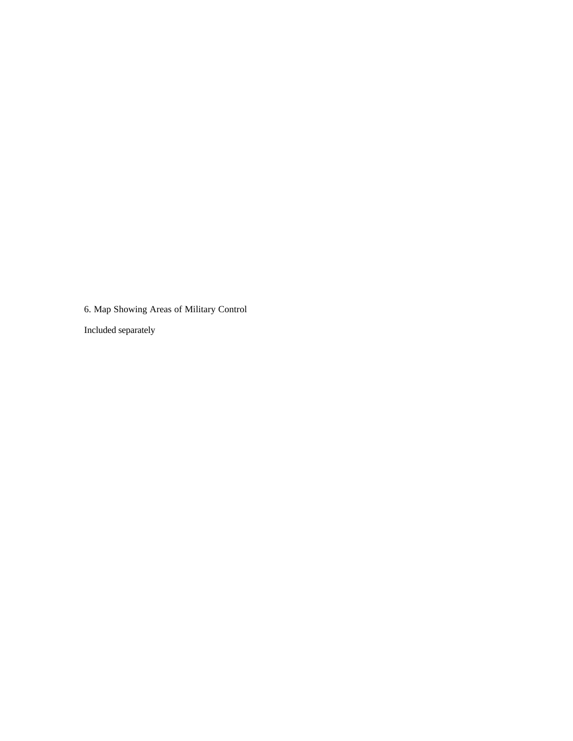6. Map Showing Areas of Military Control

Included separately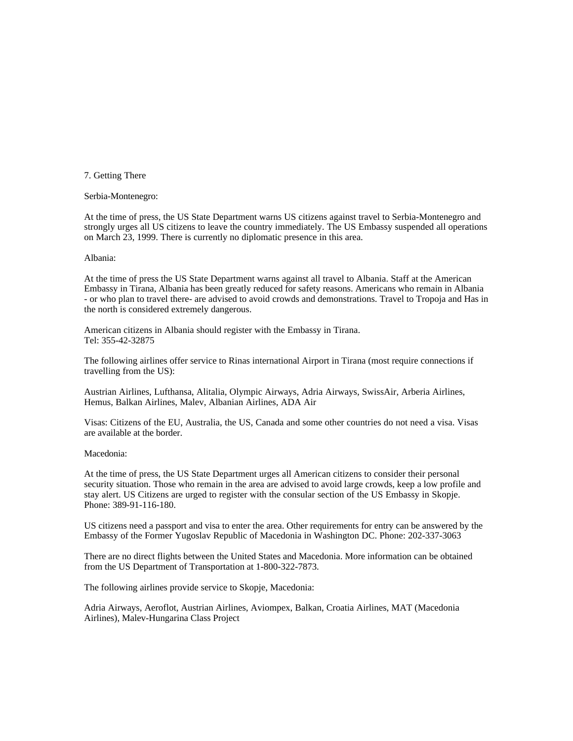### 7. Getting There

### Serbia-Montenegro:

At the time of press, the US State Department warns US citizens against travel to Serbia-Montenegro and strongly urges all US citizens to leave the country immediately. The US Embassy suspended all operations on March 23, 1999. There is currently no diplomatic presence in this area.

#### Albania:

At the time of press the US State Department warns against all travel to Albania. Staff at the American Embassy in Tirana, Albania has been greatly reduced for safety reasons. Americans who remain in Albania - or who plan to travel there- are advised to avoid crowds and demonstrations. Travel to Tropoja and Has in the north is considered extremely dangerous.

American citizens in Albania should register with the Embassy in Tirana. Tel: 355-42-32875

The following airlines offer service to Rinas international Airport in Tirana (most require connections if travelling from the US):

Austrian Airlines, Lufthansa, Alitalia, Olympic Airways, Adria Airways, SwissAir, Arberia Airlines, Hemus, Balkan Airlines, Malev, Albanian Airlines, ADA Air

Visas: Citizens of the EU, Australia, the US, Canada and some other countries do not need a visa. Visas are available at the border.

#### Macedonia:

At the time of press, the US State Department urges all American citizens to consider their personal security situation. Those who remain in the area are advised to avoid large crowds, keep a low profile and stay alert. US Citizens are urged to register with the consular section of the US Embassy in Skopje. Phone: 389-91-116-180.

US citizens need a passport and visa to enter the area. Other requirements for entry can be answered by the Embassy of the Former Yugoslav Republic of Macedonia in Washington DC. Phone: 202-337-3063

There are no direct flights between the United States and Macedonia. More information can be obtained from the US Department of Transportation at 1-800-322-7873.

The following airlines provide service to Skopje, Macedonia:

Adria Airways, Aeroflot, Austrian Airlines, Aviompex, Balkan, Croatia Airlines, MAT (Macedonia Airlines), Malev-Hungarina Class Project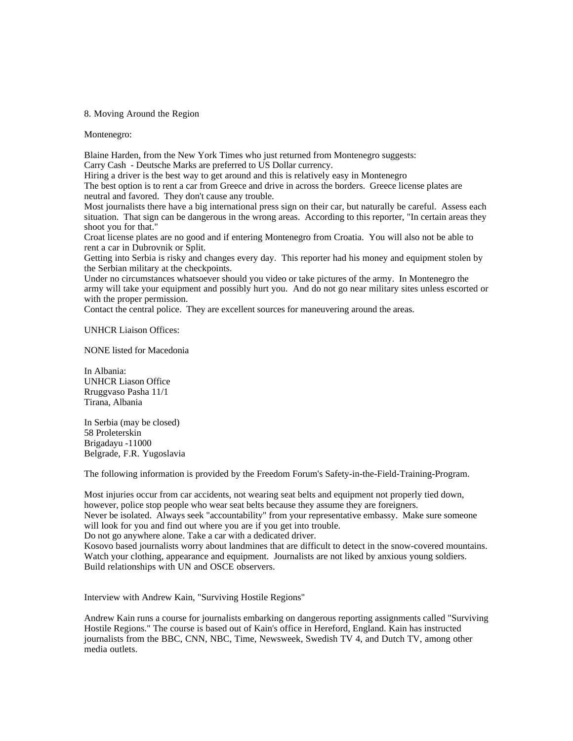#### 8. Moving Around the Region

Montenegro:

Blaine Harden, from the New York Times who just returned from Montenegro suggests: Carry Cash - Deutsche Marks are preferred to US Dollar currency.

Hiring a driver is the best way to get around and this is relatively easy in Montenegro

The best option is to rent a car from Greece and drive in across the borders. Greece license plates are neutral and favored. They don't cause any trouble.

Most journalists there have a big international press sign on their car, but naturally be careful. Assess each situation. That sign can be dangerous in the wrong areas. According to this reporter, "In certain areas they shoot you for that."

Croat license plates are no good and if entering Montenegro from Croatia. You will also not be able to rent a car in Dubrovnik or Split.

Getting into Serbia is risky and changes every day. This reporter had his money and equipment stolen by the Serbian military at the checkpoints.

Under no circumstances whatsoever should you video or take pictures of the army. In Montenegro the army will take your equipment and possibly hurt you. And do not go near military sites unless escorted or with the proper permission.

Contact the central police. They are excellent sources for maneuvering around the areas.

UNHCR Liaison Offices:

NONE listed for Macedonia

In Albania: UNHCR Liason Office Rruggvaso Pasha 11/1 Tirana, Albania

In Serbia (may be closed) 58 Proleterskin Brigadayu -11000 Belgrade, F.R. Yugoslavia

The following information is provided by the Freedom Forum's Safety-in-the-Field-Training-Program.

Most injuries occur from car accidents, not wearing seat belts and equipment not properly tied down, however, police stop people who wear seat belts because they assume they are foreigners.

Never be isolated. Always seek "accountability" from your representative embassy. Make sure someone will look for you and find out where you are if you get into trouble.

Do not go anywhere alone. Take a car with a dedicated driver.

Kosovo based journalists worry about landmines that are difficult to detect in the snow-covered mountains. Watch your clothing, appearance and equipment. Journalists are not liked by anxious young soldiers. Build relationships with UN and OSCE observers.

Interview with Andrew Kain, "Surviving Hostile Regions"

Andrew Kain runs a course for journalists embarking on dangerous reporting assignments called "Surviving Hostile Regions." The course is based out of Kain's office in Hereford, England. Kain has instructed journalists from the BBC, CNN, NBC, Time, Newsweek, Swedish TV 4, and Dutch TV, among other media outlets.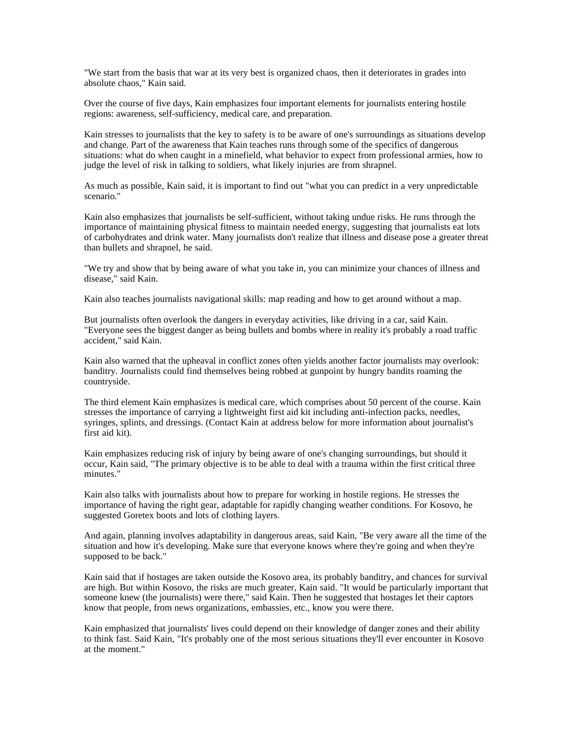"We start from the basis that war at its very best is organized chaos, then it deteriorates in grades into absolute chaos," Kain said.

Over the course of five days, Kain emphasizes four important elements for journalists entering hostile regions: awareness, self-sufficiency, medical care, and preparation.

Kain stresses to journalists that the key to safety is to be aware of one's surroundings as situations develop and change. Part of the awareness that Kain teaches runs through some of the specifics of dangerous situations: what do when caught in a minefield, what behavior to expect from professional armies, how to judge the level of risk in talking to soldiers, what likely injuries are from shrapnel.

As much as possible, Kain said, it is important to find out "what you can predict in a very unpredictable scenario."

Kain also emphasizes that journalists be self-sufficient, without taking undue risks. He runs through the importance of maintaining physical fitness to maintain needed energy, suggesting that journalists eat lots of carbohydrates and drink water. Many journalists don't realize that illness and disease pose a greater threat than bullets and shrapnel, he said.

"We try and show that by being aware of what you take in, you can minimize your chances of illness and disease," said Kain.

Kain also teaches journalists navigational skills: map reading and how to get around without a map.

But journalists often overlook the dangers in everyday activities, like driving in a car, said Kain. "Everyone sees the biggest danger as being bullets and bombs where in reality it's probably a road traffic accident," said Kain.

Kain also warned that the upheaval in conflict zones often yields another factor journalists may overlook: banditry. Journalists could find themselves being robbed at gunpoint by hungry bandits roaming the countryside.

The third element Kain emphasizes is medical care, which comprises about 50 percent of the course. Kain stresses the importance of carrying a lightweight first aid kit including anti-infection packs, needles, syringes, splints, and dressings. (Contact Kain at address below for more information about journalist's first aid kit).

Kain emphasizes reducing risk of injury by being aware of one's changing surroundings, but should it occur, Kain said, "The primary objective is to be able to deal with a trauma within the first critical three minutes."

Kain also talks with journalists about how to prepare for working in hostile regions. He stresses the importance of having the right gear, adaptable for rapidly changing weather conditions. For Kosovo, he suggested Goretex boots and lots of clothing layers.

And again, planning involves adaptability in dangerous areas, said Kain, "Be very aware all the time of the situation and how it's developing. Make sure that everyone knows where they're going and when they're supposed to be back."

Kain said that if hostages are taken outside the Kosovo area, its probably banditry, and chances for survival are high. But within Kosovo, the risks are much greater, Kain said. "It would be particularly important that someone knew (the journalists) were there," said Kain. Then he suggested that hostages let their captors know that people, from news organizations, embassies, etc., know you were there.

Kain emphasized that journalists' lives could depend on their knowledge of danger zones and their ability to think fast. Said Kain, "It's probably one of the most serious situations they'll ever encounter in Kosovo at the moment."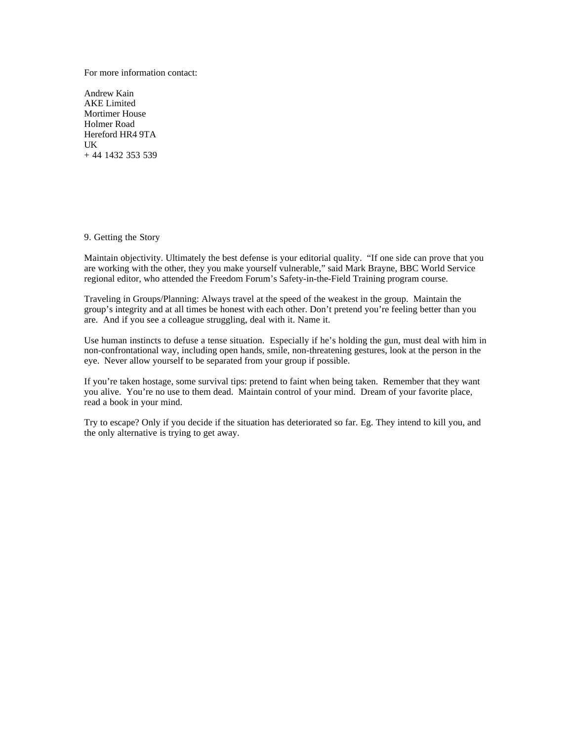For more information contact:

Andrew Kain AKE Limited Mortimer House Holmer Road Hereford HR4 9TA UK + 44 1432 353 539

## 9. Getting the Story

Maintain objectivity. Ultimately the best defense is your editorial quality. "If one side can prove that you are working with the other, they you make yourself vulnerable," said Mark Brayne, BBC World Service regional editor, who attended the Freedom Forum's Safety-in-the-Field Training program course.

Traveling in Groups/Planning: Always travel at the speed of the weakest in the group. Maintain the group's integrity and at all times be honest with each other. Don't pretend you're feeling better than you are. And if you see a colleague struggling, deal with it. Name it.

Use human instincts to defuse a tense situation. Especially if he's holding the gun, must deal with him in non-confrontational way, including open hands, smile, non-threatening gestures, look at the person in the eye. Never allow yourself to be separated from your group if possible.

If you're taken hostage, some survival tips: pretend to faint when being taken. Remember that they want you alive. You're no use to them dead. Maintain control of your mind. Dream of your favorite place, read a book in your mind.

Try to escape? Only if you decide if the situation has deteriorated so far. Eg. They intend to kill you, and the only alternative is trying to get away.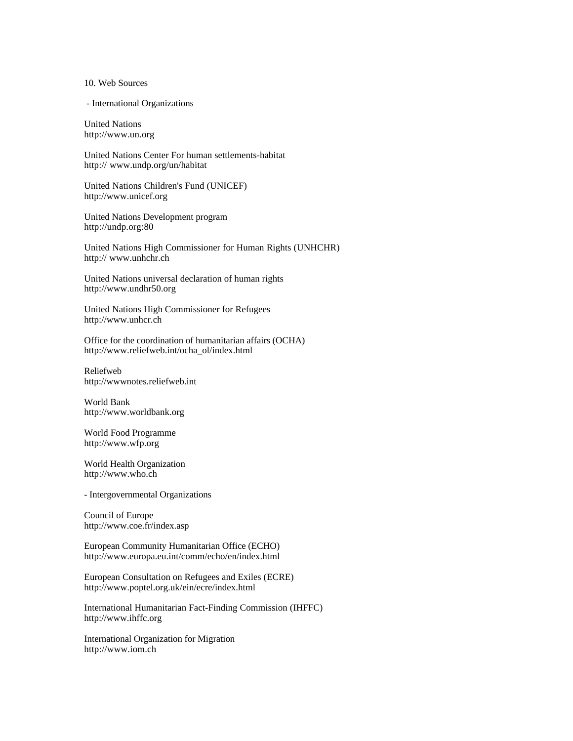10. Web Sources

- International Organizations

United Nations http://www.un.org

United Nations Center For human settlements-habitat http:// www.undp.org/un/habitat

United Nations Children's Fund (UNICEF) http://www.unicef.org

United Nations Development program http://undp.org:80

United Nations High Commissioner for Human Rights (UNHCHR) http:// www.unhchr.ch

United Nations universal declaration of human rights http://www.undhr50.org

United Nations High Commissioner for Refugees http://www.unhcr.ch

Office for the coordination of humanitarian affairs (OCHA) http://www.reliefweb.int/ocha\_ol/index.html

Reliefweb http://wwwnotes.reliefweb.int

World Bank http://www.worldbank.org

World Food Programme http://www.wfp.org

World Health Organization http://www.who.ch

- Intergovernmental Organizations

Council of Europe http://www.coe.fr/index.asp

European Community Humanitarian Office (ECHO) http://www.europa.eu.int/comm/echo/en/index.html

European Consultation on Refugees and Exiles (ECRE) http://www.poptel.org.uk/ein/ecre/index.html

International Humanitarian Fact-Finding Commission (IHFFC) http://www.ihffc.org

International Organization for Migration http://www.iom.ch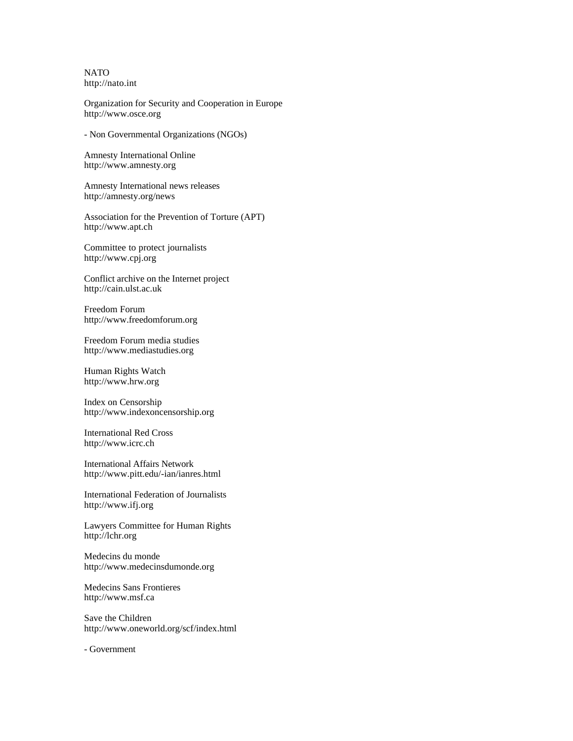NATO http://nato.int

Organization for Security and Cooperation in Europe http://www.osce.org

- Non Governmental Organizations (NGOs)

Amnesty International Online http://www.amnesty.org

Amnesty International news releases http://amnesty.org/news

Association for the Prevention of Torture (APT) http://www.apt.ch

Committee to protect journalists http://www.cpj.org

Conflict archive on the Internet project http://cain.ulst.ac.uk

Freedom Forum http://www.freedomforum.org

Freedom Forum media studies http://www.mediastudies.org

Human Rights Watch http://www.hrw.org

Index on Censorship http://www.indexoncensorship.org

International Red Cross http://www.icrc.ch

International Affairs Network http://www.pitt.edu/-ian/ianres.html

International Federation of Journalists http://www.ifj.org

Lawyers Committee for Human Rights http://lchr.org

Medecins du monde http://www.medecinsdumonde.org

Medecins Sans Frontieres http://www.msf.ca

Save the Children http://www.oneworld.org/scf/index.html

- Government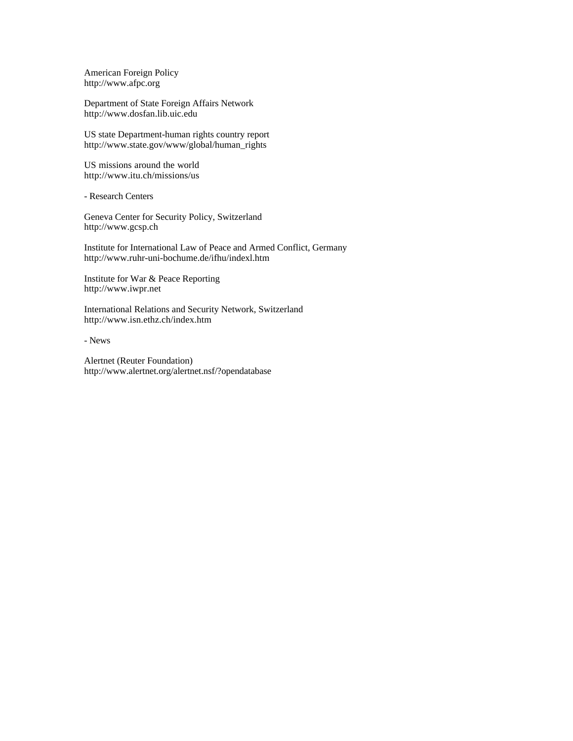American Foreign Policy http://www.afpc.org

Department of State Foreign Affairs Network http://www.dosfan.lib.uic.edu

US state Department-human rights country report http://www.state.gov/www/global/human\_rights

US missions around the world http://www.itu.ch/missions/us

- Research Centers

Geneva Center for Security Policy, Switzerland http://www.gcsp.ch

Institute for International Law of Peace and Armed Conflict, Germany http://www.ruhr-uni-bochume.de/ifhu/indexl.htm

Institute for War & Peace Reporting http://www.iwpr.net

International Relations and Security Network, Switzerland http://www.isn.ethz.ch/index.htm

- News

Alertnet (Reuter Foundation) http://www.alertnet.org/alertnet.nsf/?opendatabase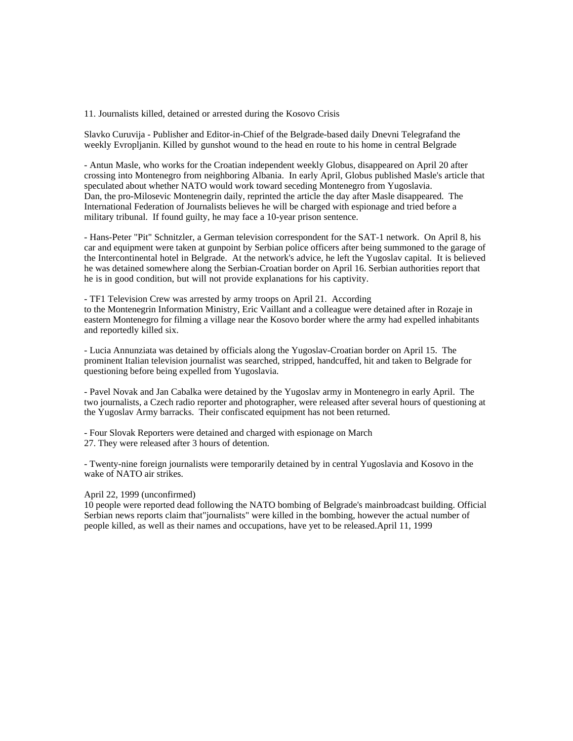11. Journalists killed, detained or arrested during the Kosovo Crisis

Slavko Curuvija - Publisher and Editor-in-Chief of the Belgrade-based daily Dnevni Telegrafand the weekly Evropljanin. Killed by gunshot wound to the head en route to his home in central Belgrade

- Antun Masle, who works for the Croatian independent weekly Globus, disappeared on April 20 after crossing into Montenegro from neighboring Albania. In early April, Globus published Masle's article that speculated about whether NATO would work toward seceding Montenegro from Yugoslavia. Dan, the pro-Milosevic Montenegrin daily, reprinted the article the day after Masle disappeared. The International Federation of Journalists believes he will be charged with espionage and tried before a military tribunal. If found guilty, he may face a 10-year prison sentence.

- Hans-Peter "Pit" Schnitzler, a German television correspondent for the SAT-1 network. On April 8, his car and equipment were taken at gunpoint by Serbian police officers after being summoned to the garage of the Intercontinental hotel in Belgrade. At the network's advice, he left the Yugoslav capital. It is believed he was detained somewhere along the Serbian-Croatian border on April 16. Serbian authorities report that he is in good condition, but will not provide explanations for his captivity.

- TF1 Television Crew was arrested by army troops on April 21. According to the Montenegrin Information Ministry, Eric Vaillant and a colleague were detained after in Rozaje in eastern Montenegro for filming a village near the Kosovo border where the army had expelled inhabitants and reportedly killed six.

- Lucia Annunziata was detained by officials along the Yugoslav-Croatian border on April 15. The prominent Italian television journalist was searched, stripped, handcuffed, hit and taken to Belgrade for questioning before being expelled from Yugoslavia.

- Pavel Novak and Jan Cabalka were detained by the Yugoslav army in Montenegro in early April. The two journalists, a Czech radio reporter and photographer, were released after several hours of questioning at the Yugoslav Army barracks. Their confiscated equipment has not been returned.

- Four Slovak Reporters were detained and charged with espionage on March 27. They were released after 3 hours of detention.

- Twenty-nine foreign journalists were temporarily detained by in central Yugoslavia and Kosovo in the wake of NATO air strikes.

## April 22, 1999 (unconfirmed)

10 people were reported dead following the NATO bombing of Belgrade's mainbroadcast building. Official Serbian news reports claim that"journalists" were killed in the bombing, however the actual number of people killed, as well as their names and occupations, have yet to be released.April 11, 1999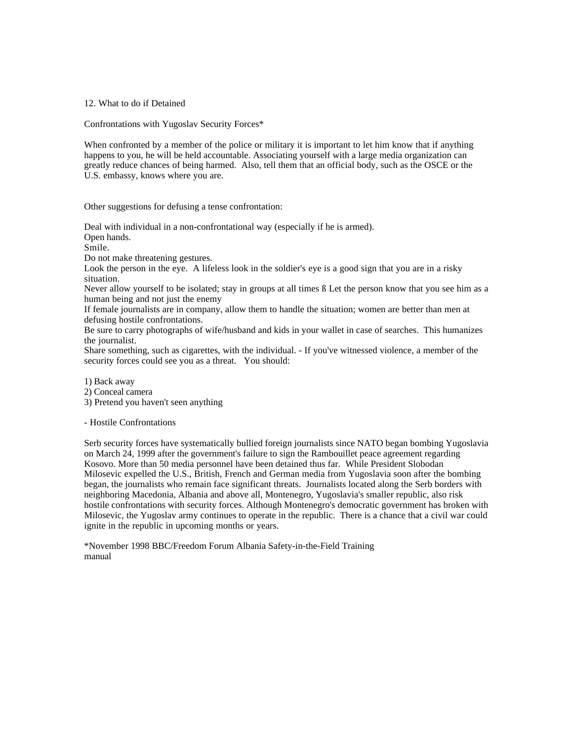12. What to do if Detained

Confrontations with Yugoslav Security Forces\*

When confronted by a member of the police or military it is important to let him know that if anything happens to you, he will be held accountable. Associating yourself with a large media organization can greatly reduce chances of being harmed. Also, tell them that an official body, such as the OSCE or the U.S. embassy, knows where you are.

Other suggestions for defusing a tense confrontation:

Deal with individual in a non-confrontational way (especially if he is armed).

Open hands.

Smile.

Do not make threatening gestures.

Look the person in the eye. A lifeless look in the soldier's eye is a good sign that you are in a risky situation.

Never allow yourself to be isolated; stay in groups at all times ß Let the person know that you see him as a human being and not just the enemy

If female journalists are in company, allow them to handle the situation; women are better than men at defusing hostile confrontations.

Be sure to carry photographs of wife/husband and kids in your wallet in case of searches. This humanizes the journalist.

Share something, such as cigarettes, with the individual. - If you've witnessed violence, a member of the security forces could see you as a threat. You should:

1) Back away

2) Conceal camera

3) Pretend you haven't seen anything

- Hostile Confrontations

Serb security forces have systematically bullied foreign journalists since NATO began bombing Yugoslavia on March 24, 1999 after the government's failure to sign the Rambouillet peace agreement regarding Kosovo. More than 50 media personnel have been detained thus far. While President Slobodan Milosevic expelled the U.S., British, French and German media from Yugoslavia soon after the bombing began, the journalists who remain face significant threats. Journalists located along the Serb borders with neighboring Macedonia, Albania and above all, Montenegro, Yugoslavia's smaller republic, also risk hostile confrontations with security forces. Although Montenegro's democratic government has broken with Milosevic, the Yugoslav army continues to operate in the republic. There is a chance that a civil war could ignite in the republic in upcoming months or years.

\*November 1998 BBC/Freedom Forum Albania Safety-in-the-Field Training manual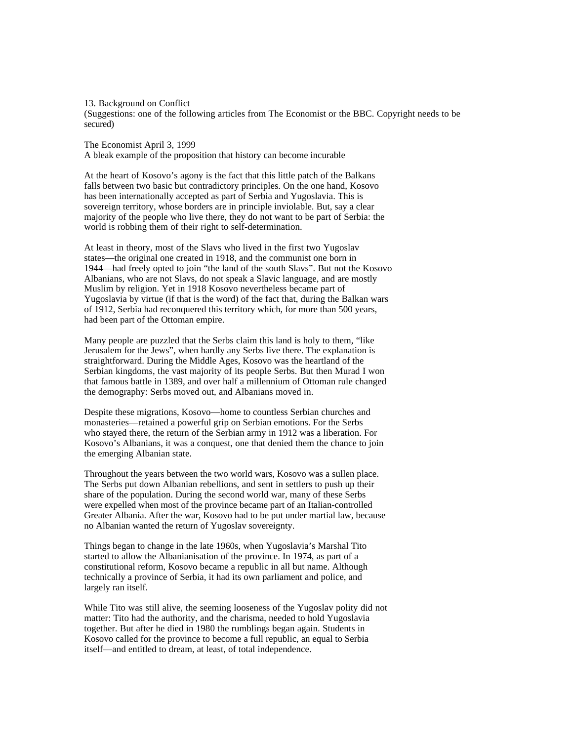13. Background on Conflict

(Suggestions: one of the following articles from The Economist or the BBC. Copyright needs to be secured)

The Economist April 3, 1999

A bleak example of the proposition that history can become incurable

At the heart of Kosovo's agony is the fact that this little patch of the Balkans falls between two basic but contradictory principles. On the one hand, Kosovo has been internationally accepted as part of Serbia and Yugoslavia. This is sovereign territory, whose borders are in principle inviolable. But, say a clear majority of the people who live there, they do not want to be part of Serbia: the world is robbing them of their right to self-determination.

At least in theory, most of the Slavs who lived in the first two Yugoslav states—the original one created in 1918, and the communist one born in 1944—had freely opted to join "the land of the south Slavs". But not the Kosovo Albanians, who are not Slavs, do not speak a Slavic language, and are mostly Muslim by religion. Yet in 1918 Kosovo nevertheless became part of Yugoslavia by virtue (if that is the word) of the fact that, during the Balkan wars of 1912, Serbia had reconquered this territory which, for more than 500 years, had been part of the Ottoman empire.

Many people are puzzled that the Serbs claim this land is holy to them, "like Jerusalem for the Jews", when hardly any Serbs live there. The explanation is straightforward. During the Middle Ages, Kosovo was the heartland of the Serbian kingdoms, the vast majority of its people Serbs. But then Murad I won that famous battle in 1389, and over half a millennium of Ottoman rule changed the demography: Serbs moved out, and Albanians moved in.

Despite these migrations, Kosovo—home to countless Serbian churches and monasteries—retained a powerful grip on Serbian emotions. For the Serbs who stayed there, the return of the Serbian army in 1912 was a liberation. For Kosovo's Albanians, it was a conquest, one that denied them the chance to join the emerging Albanian state.

Throughout the years between the two world wars, Kosovo was a sullen place. The Serbs put down Albanian rebellions, and sent in settlers to push up their share of the population. During the second world war, many of these Serbs were expelled when most of the province became part of an Italian-controlled Greater Albania. After the war, Kosovo had to be put under martial law, because no Albanian wanted the return of Yugoslav sovereignty.

Things began to change in the late 1960s, when Yugoslavia's Marshal Tito started to allow the Albanianisation of the province. In 1974, as part of a constitutional reform, Kosovo became a republic in all but name. Although technically a province of Serbia, it had its own parliament and police, and largely ran itself.

While Tito was still alive, the seeming looseness of the Yugoslav polity did not matter: Tito had the authority, and the charisma, needed to hold Yugoslavia together. But after he died in 1980 the rumblings began again. Students in Kosovo called for the province to become a full republic, an equal to Serbia itself—and entitled to dream, at least, of total independence.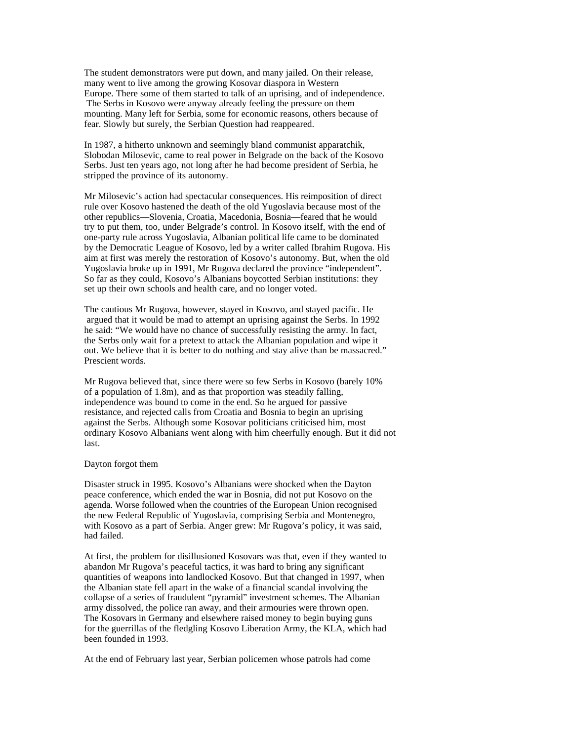The student demonstrators were put down, and many jailed. On their release, many went to live among the growing Kosovar diaspora in Western Europe. There some of them started to talk of an uprising, and of independence. The Serbs in Kosovo were anyway already feeling the pressure on them mounting. Many left for Serbia, some for economic reasons, others because of fear. Slowly but surely, the Serbian Question had reappeared.

In 1987, a hitherto unknown and seemingly bland communist apparatchik, Slobodan Milosevic, came to real power in Belgrade on the back of the Kosovo Serbs. Just ten years ago, not long after he had become president of Serbia, he stripped the province of its autonomy.

Mr Milosevic's action had spectacular consequences. His reimposition of direct rule over Kosovo hastened the death of the old Yugoslavia because most of the other republics—Slovenia, Croatia, Macedonia, Bosnia—feared that he would try to put them, too, under Belgrade's control. In Kosovo itself, with the end of one-party rule across Yugoslavia, Albanian political life came to be dominated by the Democratic League of Kosovo, led by a writer called Ibrahim Rugova. His aim at first was merely the restoration of Kosovo's autonomy. But, when the old Yugoslavia broke up in 1991, Mr Rugova declared the province "independent". So far as they could, Kosovo's Albanians boycotted Serbian institutions: they set up their own schools and health care, and no longer voted.

The cautious Mr Rugova, however, stayed in Kosovo, and stayed pacific. He argued that it would be mad to attempt an uprising against the Serbs. In 1992 he said: "We would have no chance of successfully resisting the army. In fact, the Serbs only wait for a pretext to attack the Albanian population and wipe it out. We believe that it is better to do nothing and stay alive than be massacred." Prescient words.

Mr Rugova believed that, since there were so few Serbs in Kosovo (barely 10% of a population of 1.8m), and as that proportion was steadily falling, independence was bound to come in the end. So he argued for passive resistance, and rejected calls from Croatia and Bosnia to begin an uprising against the Serbs. Although some Kosovar politicians criticised him, most ordinary Kosovo Albanians went along with him cheerfully enough. But it did not last.

#### Dayton forgot them

Disaster struck in 1995. Kosovo's Albanians were shocked when the Dayton peace conference, which ended the war in Bosnia, did not put Kosovo on the agenda. Worse followed when the countries of the European Union recognised the new Federal Republic of Yugoslavia, comprising Serbia and Montenegro, with Kosovo as a part of Serbia. Anger grew: Mr Rugova's policy, it was said, had failed.

At first, the problem for disillusioned Kosovars was that, even if they wanted to abandon Mr Rugova's peaceful tactics, it was hard to bring any significant quantities of weapons into landlocked Kosovo. But that changed in 1997, when the Albanian state fell apart in the wake of a financial scandal involving the collapse of a series of fraudulent "pyramid" investment schemes. The Albanian army dissolved, the police ran away, and their armouries were thrown open. The Kosovars in Germany and elsewhere raised money to begin buying guns for the guerrillas of the fledgling Kosovo Liberation Army, the KLA, which had been founded in 1993.

At the end of February last year, Serbian policemen whose patrols had come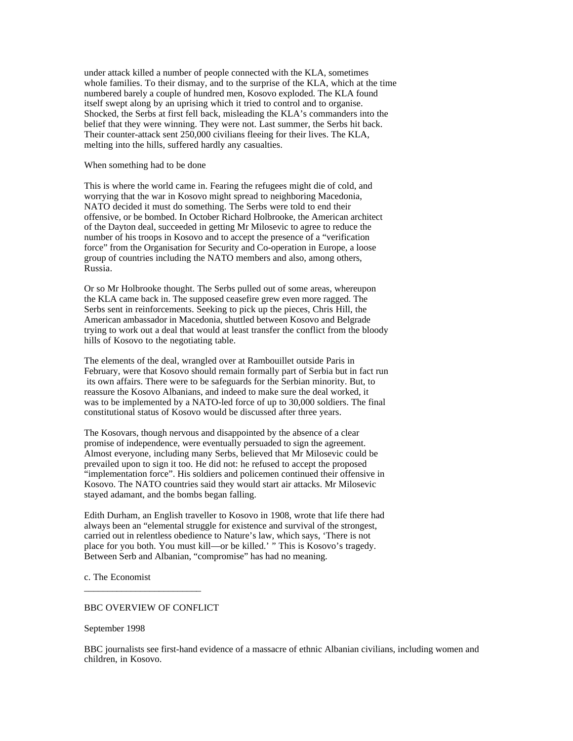under attack killed a number of people connected with the KLA, sometimes whole families. To their dismay, and to the surprise of the KLA, which at the time numbered barely a couple of hundred men, Kosovo exploded. The KLA found itself swept along by an uprising which it tried to control and to organise. Shocked, the Serbs at first fell back, misleading the KLA's commanders into the belief that they were winning. They were not. Last summer, the Serbs hit back. Their counter-attack sent 250,000 civilians fleeing for their lives. The KLA, melting into the hills, suffered hardly any casualties.

#### When something had to be done

This is where the world came in. Fearing the refugees might die of cold, and worrying that the war in Kosovo might spread to neighboring Macedonia, NATO decided it must do something. The Serbs were told to end their offensive, or be bombed. In October Richard Holbrooke, the American architect of the Dayton deal, succeeded in getting Mr Milosevic to agree to reduce the number of his troops in Kosovo and to accept the presence of a "verification force" from the Organisation for Security and Co-operation in Europe, a loose group of countries including the NATO members and also, among others, Russia.

Or so Mr Holbrooke thought. The Serbs pulled out of some areas, whereupon the KLA came back in. The supposed ceasefire grew even more ragged. The Serbs sent in reinforcements. Seeking to pick up the pieces, Chris Hill, the American ambassador in Macedonia, shuttled between Kosovo and Belgrade trying to work out a deal that would at least transfer the conflict from the bloody hills of Kosovo to the negotiating table.

The elements of the deal, wrangled over at Rambouillet outside Paris in February, were that Kosovo should remain formally part of Serbia but in fact run its own affairs. There were to be safeguards for the Serbian minority. But, to reassure the Kosovo Albanians, and indeed to make sure the deal worked, it was to be implemented by a NATO-led force of up to 30,000 soldiers. The final constitutional status of Kosovo would be discussed after three years.

The Kosovars, though nervous and disappointed by the absence of a clear promise of independence, were eventually persuaded to sign the agreement. Almost everyone, including many Serbs, believed that Mr Milosevic could be prevailed upon to sign it too. He did not: he refused to accept the proposed "implementation force". His soldiers and policemen continued their offensive in Kosovo. The NATO countries said they would start air attacks. Mr Milosevic stayed adamant, and the bombs began falling.

Edith Durham, an English traveller to Kosovo in 1908, wrote that life there had always been an "elemental struggle for existence and survival of the strongest, carried out in relentless obedience to Nature's law, which says, 'There is not place for you both. You must kill—or be killed.' " This is Kosovo's tragedy. Between Serb and Albanian, "compromise" has had no meaning.

c. The Economist

BBC OVERVIEW OF CONFLICT

\_\_\_\_\_\_\_\_\_\_\_\_\_\_\_\_\_\_\_\_\_\_\_\_\_

September 1998

BBC journalists see first-hand evidence of a massacre of ethnic Albanian civilians, including women and children, in Kosovo.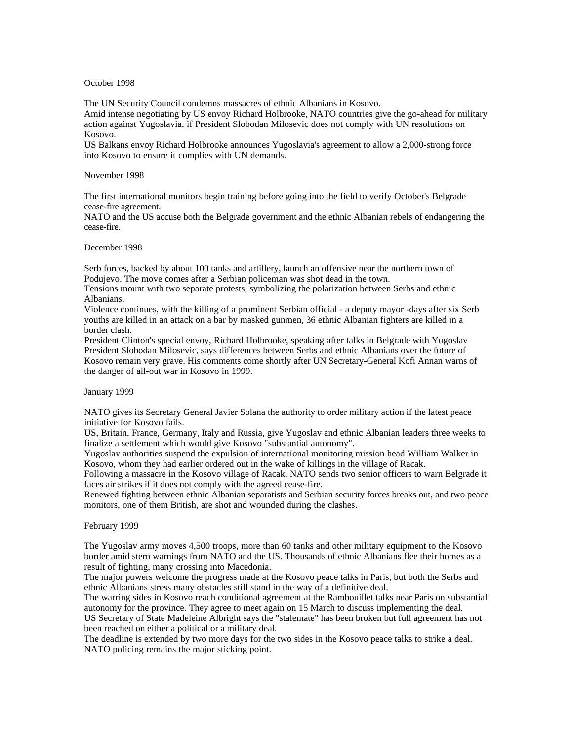### October 1998

The UN Security Council condemns massacres of ethnic Albanians in Kosovo.

Amid intense negotiating by US envoy Richard Holbrooke, NATO countries give the go-ahead for military action against Yugoslavia, if President Slobodan Milosevic does not comply with UN resolutions on Kosovo.

US Balkans envoy Richard Holbrooke announces Yugoslavia's agreement to allow a 2,000-strong force into Kosovo to ensure it complies with UN demands.

### November 1998

The first international monitors begin training before going into the field to verify October's Belgrade cease-fire agreement.

NATO and the US accuse both the Belgrade government and the ethnic Albanian rebels of endangering the cease-fire.

## December 1998

Serb forces, backed by about 100 tanks and artillery, launch an offensive near the northern town of Podujevo. The move comes after a Serbian policeman was shot dead in the town.

Tensions mount with two separate protests, symbolizing the polarization between Serbs and ethnic Albanians.

Violence continues, with the killing of a prominent Serbian official - a deputy mayor -days after six Serb youths are killed in an attack on a bar by masked gunmen, 36 ethnic Albanian fighters are killed in a border clash.

President Clinton's special envoy, Richard Holbrooke, speaking after talks in Belgrade with Yugoslav President Slobodan Milosevic, says differences between Serbs and ethnic Albanians over the future of Kosovo remain very grave. His comments come shortly after UN Secretary-General Kofi Annan warns of the danger of all-out war in Kosovo in 1999.

## January 1999

NATO gives its Secretary General Javier Solana the authority to order military action if the latest peace initiative for Kosovo fails.

US, Britain, France, Germany, Italy and Russia, give Yugoslav and ethnic Albanian leaders three weeks to finalize a settlement which would give Kosovo "substantial autonomy".

Yugoslav authorities suspend the expulsion of international monitoring mission head William Walker in Kosovo, whom they had earlier ordered out in the wake of killings in the village of Racak.

Following a massacre in the Kosovo village of Racak, NATO sends two senior officers to warn Belgrade it faces air strikes if it does not comply with the agreed cease-fire.

Renewed fighting between ethnic Albanian separatists and Serbian security forces breaks out, and two peace monitors, one of them British, are shot and wounded during the clashes.

### February 1999

The Yugoslav army moves 4,500 troops, more than 60 tanks and other military equipment to the Kosovo border amid stern warnings from NATO and the US. Thousands of ethnic Albanians flee their homes as a result of fighting, many crossing into Macedonia.

The major powers welcome the progress made at the Kosovo peace talks in Paris, but both the Serbs and ethnic Albanians stress many obstacles still stand in the way of a definitive deal.

The warring sides in Kosovo reach conditional agreement at the Rambouillet talks near Paris on substantial autonomy for the province. They agree to meet again on 15 March to discuss implementing the deal.

US Secretary of State Madeleine Albright says the "stalemate" has been broken but full agreement has not been reached on either a political or a military deal.

The deadline is extended by two more days for the two sides in the Kosovo peace talks to strike a deal. NATO policing remains the major sticking point.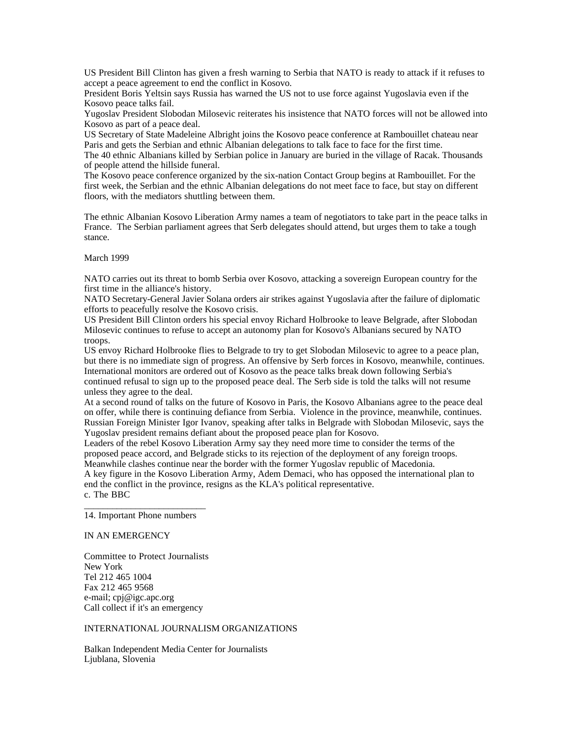US President Bill Clinton has given a fresh warning to Serbia that NATO is ready to attack if it refuses to accept a peace agreement to end the conflict in Kosovo.

President Boris Yeltsin says Russia has warned the US not to use force against Yugoslavia even if the Kosovo peace talks fail.

Yugoslav President Slobodan Milosevic reiterates his insistence that NATO forces will not be allowed into Kosovo as part of a peace deal.

US Secretary of State Madeleine Albright joins the Kosovo peace conference at Rambouillet chateau near Paris and gets the Serbian and ethnic Albanian delegations to talk face to face for the first time. The 40 ethnic Albanians killed by Serbian police in January are buried in the village of Racak. Thousands

of people attend the hillside funeral.

The Kosovo peace conference organized by the six-nation Contact Group begins at Rambouillet. For the first week, the Serbian and the ethnic Albanian delegations do not meet face to face, but stay on different floors, with the mediators shuttling between them.

The ethnic Albanian Kosovo Liberation Army names a team of negotiators to take part in the peace talks in France. The Serbian parliament agrees that Serb delegates should attend, but urges them to take a tough stance.

## March 1999

NATO carries out its threat to bomb Serbia over Kosovo, attacking a sovereign European country for the first time in the alliance's history.

NATO Secretary-General Javier Solana orders air strikes against Yugoslavia after the failure of diplomatic efforts to peacefully resolve the Kosovo crisis.

US President Bill Clinton orders his special envoy Richard Holbrooke to leave Belgrade, after Slobodan Milosevic continues to refuse to accept an autonomy plan for Kosovo's Albanians secured by NATO troops.

US envoy Richard Holbrooke flies to Belgrade to try to get Slobodan Milosevic to agree to a peace plan, but there is no immediate sign of progress. An offensive by Serb forces in Kosovo, meanwhile, continues. International monitors are ordered out of Kosovo as the peace talks break down following Serbia's continued refusal to sign up to the proposed peace deal. The Serb side is told the talks will not resume unless they agree to the deal.

At a second round of talks on the future of Kosovo in Paris, the Kosovo Albanians agree to the peace deal on offer, while there is continuing defiance from Serbia. Violence in the province, meanwhile, continues. Russian Foreign Minister Igor Ivanov, speaking after talks in Belgrade with Slobodan Milosevic, says the Yugoslav president remains defiant about the proposed peace plan for Kosovo.

Leaders of the rebel Kosovo Liberation Army say they need more time to consider the terms of the proposed peace accord, and Belgrade sticks to its rejection of the deployment of any foreign troops. Meanwhile clashes continue near the border with the former Yugoslav republic of Macedonia.

A key figure in the Kosovo Liberation Army, Adem Demaci, who has opposed the international plan to end the conflict in the province, resigns as the KLA's political representative. c. The BBC

## \_\_\_\_\_\_\_\_\_\_\_\_\_\_\_\_\_\_\_\_\_\_\_\_\_\_ 14. Important Phone numbers

#### IN AN EMERGENCY

Committee to Protect Journalists New York Tel 212 465 1004 Fax 212 465 9568 e-mail; cpj@igc.apc.org Call collect if it's an emergency

# INTERNATIONAL JOURNALISM ORGANIZATIONS

Balkan Independent Media Center for Journalists Ljublana, Slovenia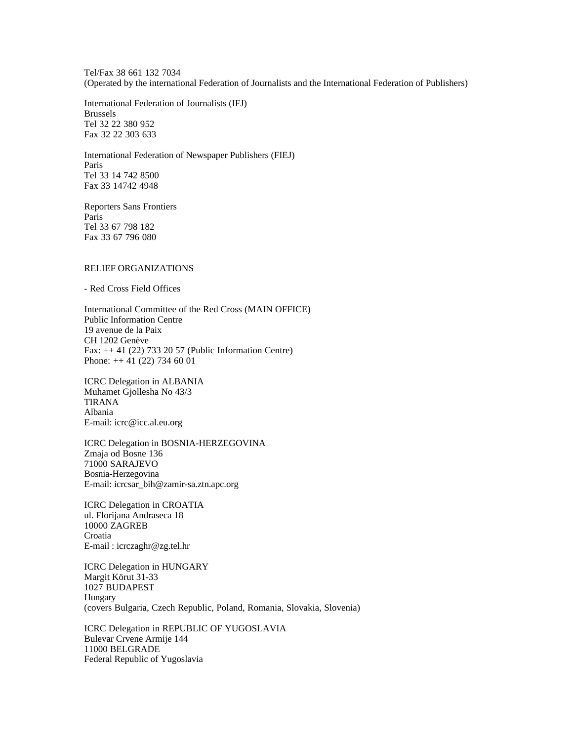Tel/Fax 38 661 132 7034 (Operated by the international Federation of Journalists and the International Federation of Publishers)

International Federation of Journalists (IFJ) Brussels Tel 32 22 380 952 Fax 32 22 303 633

International Federation of Newspaper Publishers (FIEJ) Paris Tel 33 14 742 8500 Fax 33 14742 4948

Reporters Sans Frontiers Paris Tel 33 67 798 182 Fax 33 67 796 080

## RELIEF ORGANIZATIONS

- Red Cross Field Offices

International Committee of the Red Cross (MAIN OFFICE) Public Information Centre 19 avenue de la Paix CH 1202 Genève Fax: ++ 41 (22) 733 20 57 (Public Information Centre) Phone: ++ 41 (22) 734 60 01

ICRC Delegation in ALBANIA Muhamet Gjollesha No 43/3 TIRANA Albania E-mail: icrc@icc.al.eu.org

ICRC Delegation in BOSNIA-HERZEGOVINA Zmaja od Bosne 136 71000 SARAJEVO Bosnia-Herzegovina E-mail: icrcsar\_bih@zamir-sa.ztn.apc.org

ICRC Delegation in CROATIA ul. Florijana Andraseca 18 10000 ZAGREB **Croatia** E-mail : icrczaghr@zg.tel.hr

ICRC Delegation in HUNGARY Margit Körut 31-33 1027 BUDAPEST Hungary (covers Bulgaria, Czech Republic, Poland, Romania, Slovakia, Slovenia)

ICRC Delegation in REPUBLIC OF YUGOSLAVIA Bulevar Crvene Armije 144 11000 BELGRADE Federal Republic of Yugoslavia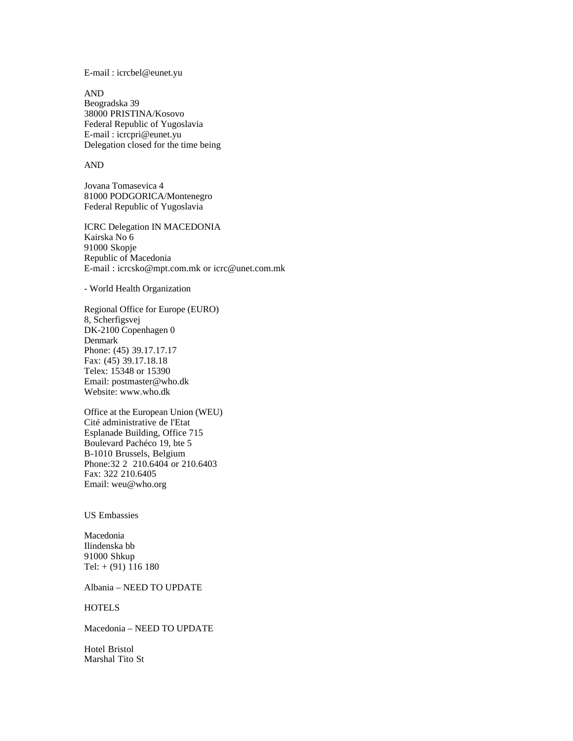E-mail : icrcbel@eunet.yu

AND Beogradska 39 38000 PRISTINA/Kosovo Federal Republic of Yugoslavia E-mail : icrcpri@eunet.yu Delegation closed for the time being

## AND

Jovana Tomasevica 4 81000 PODGORICA/Montenegro Federal Republic of Yugoslavia

ICRC Delegation IN MACEDONIA Kairska No 6 91000 Skopje Republic of Macedonia E-mail : icrcsko@mpt.com.mk or icrc@unet.com.mk

- World Health Organization

Regional Office for Europe (EURO) 8, Scherfigsvej DK-2100 Copenhagen 0 Denmark Phone: (45) 39.17.17.17 Fax: (45) 39.17.18.18 Telex: 15348 or 15390 Email: postmaster@who.dk Website: www.who.dk

Office at the European Union (WEU) Cité administrative de l'Etat Esplanade Building, Office 715 Boulevard Pachéco 19, bte 5 B-1010 Brussels, Belgium Phone:32 2 210.6404 or 210.6403 Fax: 322 210.6405 Email: weu@who.org

US Embassies

Macedonia Ilindenska bb 91000 Shkup Tel:  $+(91)$  116 180

Albania – NEED TO UPDATE

**HOTELS** 

Macedonia – NEED TO UPDATE

Hotel Bristol Marshal Tito St